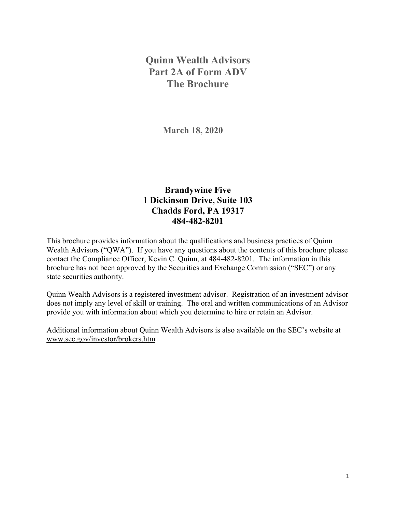# **Quinn Wealth Advisors Part 2A of Form ADV The Brochure**

**March 18, 2020** 

# **Brandywine Five 1 Dickinson Drive, Suite 103 Chadds Ford, PA 19317 484-482-8201**

This brochure provides information about the qualifications and business practices of Quinn Wealth Advisors ("QWA"). If you have any questions about the contents of this brochure please contact the Compliance Officer, Kevin C. Quinn, at 484-482-8201. The information in this brochure has not been approved by the Securities and Exchange Commission ("SEC") or any state securities authority.

Quinn Wealth Advisors is a registered investment advisor. Registration of an investment advisor does not imply any level of skill or training. The oral and written communications of an Advisor provide you with information about which you determine to hire or retain an Advisor.

Additional information about Quinn Wealth Advisors is also available on the SEC's website at www.sec.gov/investor/brokers.htm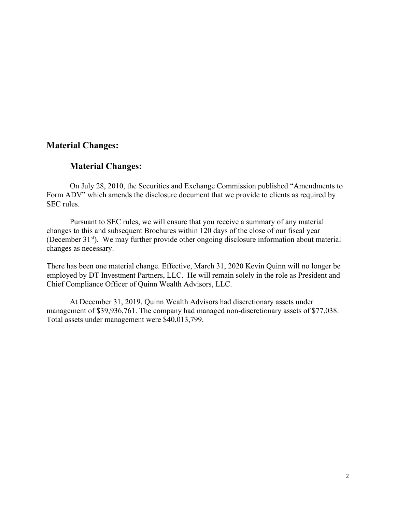### **Material Changes:**

### **Material Changes:**

On July 28, 2010, the Securities and Exchange Commission published "Amendments to Form ADV" which amends the disclosure document that we provide to clients as required by SEC rules.

 Pursuant to SEC rules, we will ensure that you receive a summary of any material changes to this and subsequent Brochures within 120 days of the close of our fiscal year (December 31<sup>st</sup>). We may further provide other ongoing disclosure information about material changes as necessary.

There has been one material change. Effective, March 31, 2020 Kevin Quinn will no longer be employed by DT Investment Partners, LLC. He will remain solely in the role as President and Chief Compliance Officer of Quinn Wealth Advisors, LLC.

At December 31, 2019, Quinn Wealth Advisors had discretionary assets under management of \$39,936,761. The company had managed non-discretionary assets of \$77,038. Total assets under management were \$40,013,799.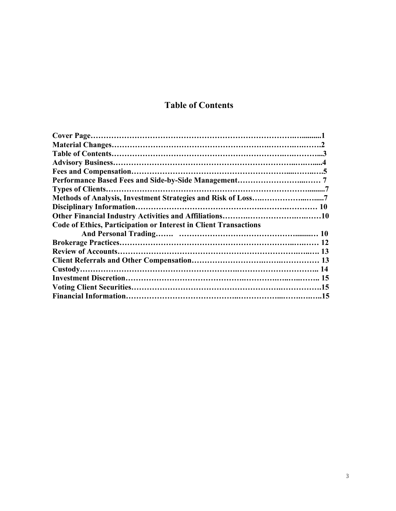# **Table of Contents**

| Code of Ethics, Participation or Interest in Client Transactions |  |
|------------------------------------------------------------------|--|
|                                                                  |  |
|                                                                  |  |
|                                                                  |  |
|                                                                  |  |
|                                                                  |  |
|                                                                  |  |
|                                                                  |  |
|                                                                  |  |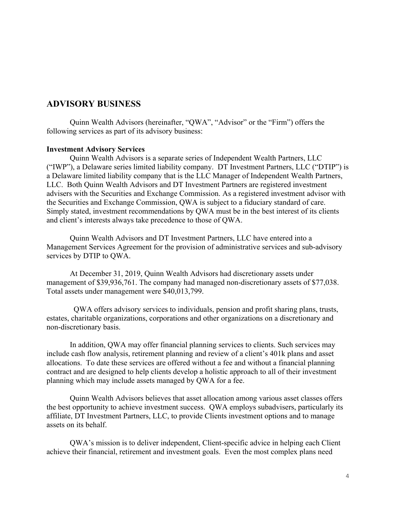### **ADVISORY BUSINESS**

Quinn Wealth Advisors (hereinafter, "QWA", "Advisor" or the "Firm") offers the following services as part of its advisory business:

#### **Investment Advisory Services**

Quinn Wealth Advisors is a separate series of Independent Wealth Partners, LLC ("IWP"), a Delaware series limited liability company. DT Investment Partners, LLC ("DTIP") is a Delaware limited liability company that is the LLC Manager of Independent Wealth Partners, LLC. Both Quinn Wealth Advisors and DT Investment Partners are registered investment advisers with the Securities and Exchange Commission. As a registered investment advisor with the Securities and Exchange Commission, QWA is subject to a fiduciary standard of care. Simply stated, investment recommendations by QWA must be in the best interest of its clients and client's interests always take precedence to those of QWA.

Quinn Wealth Advisors and DT Investment Partners, LLC have entered into a Management Services Agreement for the provision of administrative services and sub-advisory services by DTIP to QWA.

At December 31, 2019, Quinn Wealth Advisors had discretionary assets under management of \$39,936,761. The company had managed non-discretionary assets of \$77,038. Total assets under management were \$40,013,799.

 QWA offers advisory services to individuals, pension and profit sharing plans, trusts, estates, charitable organizations, corporations and other organizations on a discretionary and non-discretionary basis.

In addition, QWA may offer financial planning services to clients. Such services may include cash flow analysis, retirement planning and review of a client's 401k plans and asset allocations. To date these services are offered without a fee and without a financial planning contract and are designed to help clients develop a holistic approach to all of their investment planning which may include assets managed by QWA for a fee.

 Quinn Wealth Advisors believes that asset allocation among various asset classes offers the best opportunity to achieve investment success. QWA employs subadvisers, particularly its affiliate, DT Investment Partners, LLC, to provide Clients investment options and to manage assets on its behalf.

 QWA's mission is to deliver independent, Client-specific advice in helping each Client achieve their financial, retirement and investment goals. Even the most complex plans need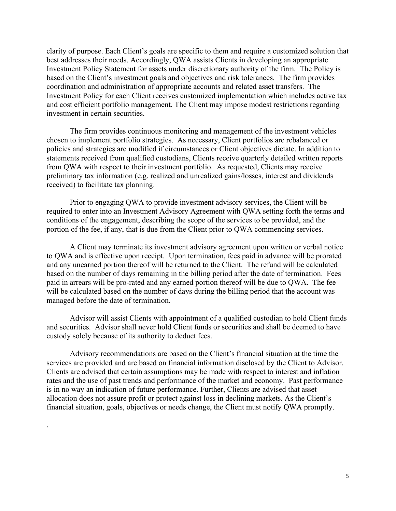clarity of purpose. Each Client's goals are specific to them and require a customized solution that best addresses their needs. Accordingly, QWA assists Clients in developing an appropriate Investment Policy Statement for assets under discretionary authority of the firm. The Policy is based on the Client's investment goals and objectives and risk tolerances. The firm provides coordination and administration of appropriate accounts and related asset transfers. The Investment Policy for each Client receives customized implementation which includes active tax and cost efficient portfolio management. The Client may impose modest restrictions regarding investment in certain securities.

 The firm provides continuous monitoring and management of the investment vehicles chosen to implement portfolio strategies. As necessary, Client portfolios are rebalanced or policies and strategies are modified if circumstances or Client objectives dictate. In addition to statements received from qualified custodians, Clients receive quarterly detailed written reports from QWA with respect to their investment portfolio. As requested, Clients may receive preliminary tax information (e.g. realized and unrealized gains/losses, interest and dividends received) to facilitate tax planning.

 Prior to engaging QWA to provide investment advisory services, the Client will be required to enter into an Investment Advisory Agreement with QWA setting forth the terms and conditions of the engagement, describing the scope of the services to be provided, and the portion of the fee, if any, that is due from the Client prior to QWA commencing services.

 A Client may terminate its investment advisory agreement upon written or verbal notice to QWA and is effective upon receipt. Upon termination, fees paid in advance will be prorated and any unearned portion thereof will be returned to the Client. The refund will be calculated based on the number of days remaining in the billing period after the date of termination. Fees paid in arrears will be pro-rated and any earned portion thereof will be due to QWA. The fee will be calculated based on the number of days during the billing period that the account was managed before the date of termination.

 Advisor will assist Clients with appointment of a qualified custodian to hold Client funds and securities. Advisor shall never hold Client funds or securities and shall be deemed to have custody solely because of its authority to deduct fees.

 Advisory recommendations are based on the Client's financial situation at the time the services are provided and are based on financial information disclosed by the Client to Advisor. Clients are advised that certain assumptions may be made with respect to interest and inflation rates and the use of past trends and performance of the market and economy. Past performance is in no way an indication of future performance. Further, Clients are advised that asset allocation does not assure profit or protect against loss in declining markets. As the Client's financial situation, goals, objectives or needs change, the Client must notify QWA promptly.

.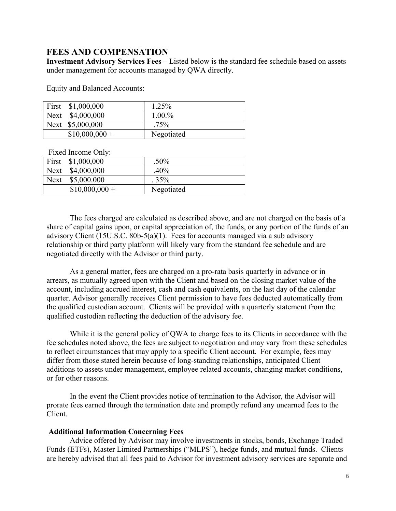### **FEES AND COMPENSATION**

**Investment Advisory Services Fees** – Listed below is the standard fee schedule based on assets under management for accounts managed by QWA directly.

Equity and Balanced Accounts:

| First \$1,000,000 | 1.25%      |
|-------------------|------------|
| Next \$4,000,000  | 1.00.%     |
| Next \$5,000,000  | $.75\%$    |
| $$10,000,000 +$   | Negotiated |

Fixed Income Only:

| First | \$1,000,000    | $.50\%$    |
|-------|----------------|------------|
| Next  | \$4,000,000    | .40%       |
| Next  | \$5,000.000    | .35%       |
|       | $$10,000,000+$ | Negotiated |

 The fees charged are calculated as described above, and are not charged on the basis of a share of capital gains upon, or capital appreciation of, the funds, or any portion of the funds of an advisory Client (15U.S.C. 80b-5(a)(1). Fees for accounts managed via a sub advisory relationship or third party platform will likely vary from the standard fee schedule and are negotiated directly with the Advisor or third party.

 As a general matter, fees are charged on a pro-rata basis quarterly in advance or in arrears, as mutually agreed upon with the Client and based on the closing market value of the account, including accrued interest, cash and cash equivalents, on the last day of the calendar quarter. Advisor generally receives Client permission to have fees deducted automatically from the qualified custodian account. Clients will be provided with a quarterly statement from the qualified custodian reflecting the deduction of the advisory fee.

 While it is the general policy of QWA to charge fees to its Clients in accordance with the fee schedules noted above, the fees are subject to negotiation and may vary from these schedules to reflect circumstances that may apply to a specific Client account. For example, fees may differ from those stated herein because of long-standing relationships, anticipated Client additions to assets under management, employee related accounts, changing market conditions, or for other reasons.

 In the event the Client provides notice of termination to the Advisor, the Advisor will prorate fees earned through the termination date and promptly refund any unearned fees to the Client.

#### **Additional Information Concerning Fees**

 Advice offered by Advisor may involve investments in stocks, bonds, Exchange Traded Funds (ETFs), Master Limited Partnerships ("MLPS"), hedge funds, and mutual funds. Clients are hereby advised that all fees paid to Advisor for investment advisory services are separate and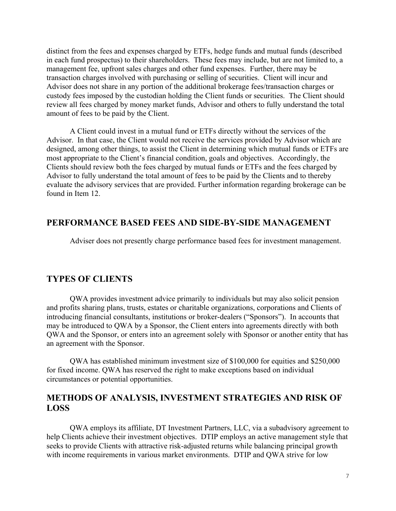distinct from the fees and expenses charged by ETFs, hedge funds and mutual funds (described in each fund prospectus) to their shareholders. These fees may include, but are not limited to, a management fee, upfront sales charges and other fund expenses. Further, there may be transaction charges involved with purchasing or selling of securities. Client will incur and Advisor does not share in any portion of the additional brokerage fees/transaction charges or custody fees imposed by the custodian holding the Client funds or securities. The Client should review all fees charged by money market funds, Advisor and others to fully understand the total amount of fees to be paid by the Client.

 A Client could invest in a mutual fund or ETFs directly without the services of the Advisor. In that case, the Client would not receive the services provided by Advisor which are designed, among other things, to assist the Client in determining which mutual funds or ETFs are most appropriate to the Client's financial condition, goals and objectives. Accordingly, the Clients should review both the fees charged by mutual funds or ETFs and the fees charged by Advisor to fully understand the total amount of fees to be paid by the Clients and to thereby evaluate the advisory services that are provided. Further information regarding brokerage can be found in Item 12.

#### **PERFORMANCE BASED FEES AND SIDE-BY-SIDE MANAGEMENT**

Adviser does not presently charge performance based fees for investment management.

#### **TYPES OF CLIENTS**

QWA provides investment advice primarily to individuals but may also solicit pension and profits sharing plans, trusts, estates or charitable organizations, corporations and Clients of introducing financial consultants, institutions or broker-dealers ("Sponsors"). In accounts that may be introduced to QWA by a Sponsor, the Client enters into agreements directly with both QWA and the Sponsor, or enters into an agreement solely with Sponsor or another entity that has an agreement with the Sponsor.

 QWA has established minimum investment size of \$100,000 for equities and \$250,000 for fixed income. QWA has reserved the right to make exceptions based on individual circumstances or potential opportunities.

### **METHODS OF ANALYSIS, INVESTMENT STRATEGIES AND RISK OF LOSS**

QWA employs its affiliate, DT Investment Partners, LLC, via a subadvisory agreement to help Clients achieve their investment objectives. DTIP employs an active management style that seeks to provide Clients with attractive risk-adjusted returns while balancing principal growth with income requirements in various market environments. DTIP and QWA strive for low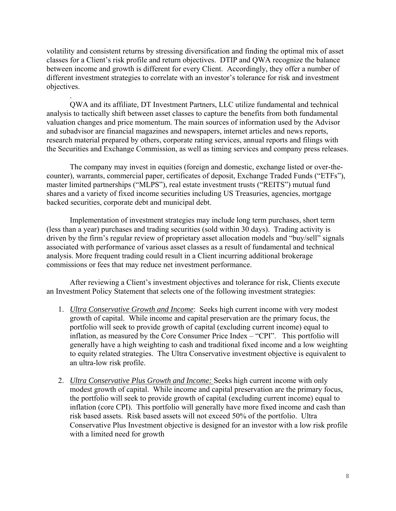volatility and consistent returns by stressing diversification and finding the optimal mix of asset classes for a Client's risk profile and return objectives. DTIP and QWA recognize the balance between income and growth is different for every Client. Accordingly, they offer a number of different investment strategies to correlate with an investor's tolerance for risk and investment objectives.

.

 QWA and its affiliate, DT Investment Partners, LLC utilize fundamental and technical analysis to tactically shift between asset classes to capture the benefits from both fundamental valuation changes and price momentum. The main sources of information used by the Advisor and subadvisor are financial magazines and newspapers, internet articles and news reports, research material prepared by others, corporate rating services, annual reports and filings with the Securities and Exchange Commission, as well as timing services and company press releases.

 The company may invest in equities (foreign and domestic, exchange listed or over-thecounter), warrants, commercial paper, certificates of deposit, Exchange Traded Funds ("ETFs"), master limited partnerships ("MLPS"), real estate investment trusts ("REITS") mutual fund shares and a variety of fixed income securities including US Treasuries, agencies, mortgage backed securities, corporate debt and municipal debt.

 Implementation of investment strategies may include long term purchases, short term (less than a year) purchases and trading securities (sold within 30 days). Trading activity is driven by the firm's regular review of proprietary asset allocation models and "buy/sell" signals associated with performance of various asset classes as a result of fundamental and technical analysis. More frequent trading could result in a Client incurring additional brokerage commissions or fees that may reduce net investment performance.

 After reviewing a Client's investment objectives and tolerance for risk, Clients execute an Investment Policy Statement that selects one of the following investment strategies:

- 1. *Ultra Conservative Growth and Income*: Seeks high current income with very modest growth of capital. While income and capital preservation are the primary focus, the portfolio will seek to provide growth of capital (excluding current income) equal to inflation, as measured by the Core Consumer Price Index – "CPI". This portfolio will generally have a high weighting to cash and traditional fixed income and a low weighting to equity related strategies. The Ultra Conservative investment objective is equivalent to an ultra-low risk profile.
- 2. *Ultra Conservative Plus Growth and Income:* Seeks high current income with only modest growth of capital. While income and capital preservation are the primary focus, the portfolio will seek to provide growth of capital (excluding current income) equal to inflation (core CPI). This portfolio will generally have more fixed income and cash than risk based assets. Risk based assets will not exceed 50% of the portfolio. Ultra Conservative Plus Investment objective is designed for an investor with a low risk profile with a limited need for growth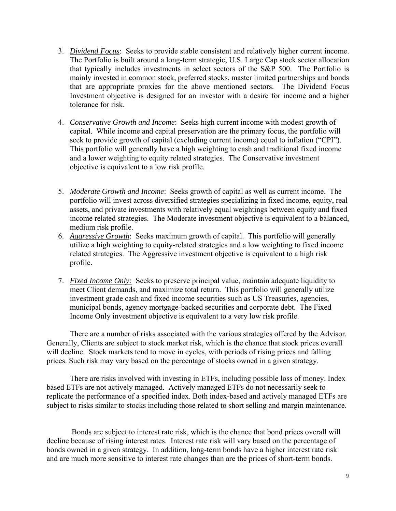- 3. *Dividend Focus*: Seeks to provide stable consistent and relatively higher current income. The Portfolio is built around a long-term strategic, U.S. Large Cap stock sector allocation that typically includes investments in select sectors of the S&P 500. The Portfolio is mainly invested in common stock, preferred stocks, master limited partnerships and bonds that are appropriate proxies for the above mentioned sectors. The Dividend Focus Investment objective is designed for an investor with a desire for income and a higher tolerance for risk.
- 4. *Conservative Growth and Income*: Seeks high current income with modest growth of capital. While income and capital preservation are the primary focus, the portfolio will seek to provide growth of capital (excluding current income) equal to inflation ("CPI"). This portfolio will generally have a high weighting to cash and traditional fixed income and a lower weighting to equity related strategies. The Conservative investment objective is equivalent to a low risk profile.
- 5. *Moderate Growth and Income*: Seeks growth of capital as well as current income. The portfolio will invest across diversified strategies specializing in fixed income, equity, real assets, and private investments with relatively equal weightings between equity and fixed income related strategies. The Moderate investment objective is equivalent to a balanced, medium risk profile.
- 6. *Aggressive Growth*: Seeks maximum growth of capital. This portfolio will generally utilize a high weighting to equity-related strategies and a low weighting to fixed income related strategies. The Aggressive investment objective is equivalent to a high risk profile.
- 7. *Fixed Income Only:* Seeks to preserve principal value, maintain adequate liquidity to meet Client demands, and maximize total return. This portfolio will generally utilize investment grade cash and fixed income securities such as US Treasuries, agencies, municipal bonds, agency mortgage-backed securities and corporate debt. The Fixed Income Only investment objective is equivalent to a very low risk profile.

There are a number of risks associated with the various strategies offered by the Advisor. Generally, Clients are subject to stock market risk, which is the chance that stock prices overall will decline. Stock markets tend to move in cycles, with periods of rising prices and falling prices. Such risk may vary based on the percentage of stocks owned in a given strategy.

There are risks involved with investing in ETFs, including possible loss of money. Index based ETFs are not actively managed. Actively managed ETFs do not necessarily seek to replicate the performance of a specified index. Both index-based and actively managed ETFs are subject to risks similar to stocks including those related to short selling and margin maintenance.

 Bonds are subject to interest rate risk, which is the chance that bond prices overall will decline because of rising interest rates. Interest rate risk will vary based on the percentage of bonds owned in a given strategy. In addition, long-term bonds have a higher interest rate risk and are much more sensitive to interest rate changes than are the prices of short-term bonds.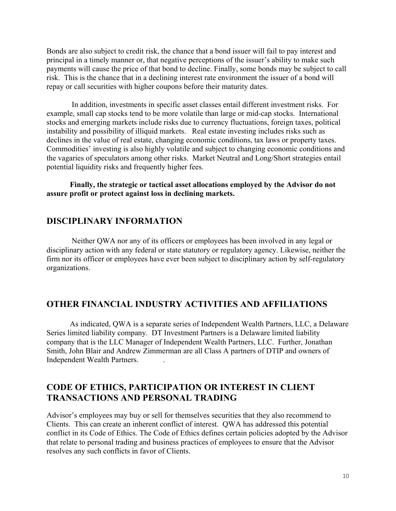Bonds are also subject to credit risk, the chance that a bond issuer will fail to pay interest and principal in a timely manner or, that negative perceptions of the issuer's ability to make such payments will cause the price of that bond to decline. Finally, some bonds may be subject to call risk. This is the chance that in a declining interest rate environment the issuer of a bond will repay or call securities with higher coupons before their maturity dates.

 In addition, investments in specific asset classes entail different investment risks. For example, small cap stocks tend to be more volatile than large or mid-cap stocks. International stocks and emerging markets include risks due to currency fluctuations, foreign taxes, political instability and possibility of illiquid markets. Real estate investing includes risks such as declines in the value of real estate, changing economic conditions, tax laws or property taxes. Commodities' investing is also highly volatile and subject to changing economic conditions and the vagaries of speculators among other risks. Market Neutral and Long/Short strategies entail potential liquidity risks and frequently higher fees.

**Finally, the strategic or tactical asset allocations employed by the Advisor do not assure profit or protect against loss in declining markets.** 

## **DISCIPLINARY INFORMATION**

 Neither QWA nor any of its officers or employees has been involved in any legal or disciplinary action with any federal or state statutory or regulatory agency. Likewise, neither the firm nor its officer or employees have ever been subject to disciplinary action by self-regulatory organizations.

## **OTHER FINANCIAL INDUSTRY ACTIVITIES AND AFFILIATIONS**

As indicated, QWA is a separate series of Independent Wealth Partners, LLC, a Delaware Series limited liability company. DT Investment Partners is a Delaware limited liability company that is the LLC Manager of Independent Wealth Partners, LLC. Further, Jonathan Smith, John Blair and Andrew Zimmerman are all Class A partners of DTIP and owners of Independent Wealth Partners. .

# **CODE OF ETHICS, PARTICIPATION OR INTEREST IN CLIENT TRANSACTIONS AND PERSONAL TRADING**

Advisor's employees may buy or sell for themselves securities that they also recommend to Clients. This can create an inherent conflict of interest. QWA has addressed this potential conflict in its Code of Ethics. The Code of Ethics defines certain policies adopted by the Advisor that relate to personal trading and business practices of employees to ensure that the Advisor resolves any such conflicts in favor of Clients.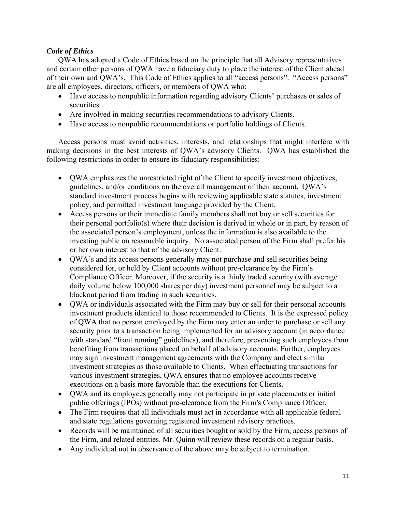#### *Code of Ethics*

QWA has adopted a Code of Ethics based on the principle that all Advisory representatives and certain other persons of QWA have a fiduciary duty to place the interest of the Client ahead of their own and QWA's. This Code of Ethics applies to all "access persons". "Access persons" are all employees, directors, officers, or members of QWA who:

- Have access to nonpublic information regarding advisory Clients' purchases or sales of securities.
- Are involved in making securities recommendations to advisory Clients.
- Have access to nonpublic recommendations or portfolio holdings of Clients.

Access persons must avoid activities, interests, and relationships that might interfere with making decisions in the best interests of QWA's advisory Clients. QWA has established the following restrictions in order to ensure its fiduciary responsibilities:

- QWA emphasizes the unrestricted right of the Client to specify investment objectives, guidelines, and/or conditions on the overall management of their account. QWA's standard investment process begins with reviewing applicable state statutes, investment policy, and permitted investment language provided by the Client.
- Access persons or their immediate family members shall not buy or sell securities for their personal portfolio(s) where their decision is derived in whole or in part, by reason of the associated person's employment, unless the information is also available to the investing public on reasonable inquiry. No associated person of the Firm shall prefer his or her own interest to that of the advisory Client.
- QWA's and its access persons generally may not purchase and sell securities being considered for, or held by Client accounts without pre-clearance by the Firm's Compliance Officer. Moreover, if the security is a thinly traded security (with average daily volume below 100,000 shares per day) investment personnel may be subject to a blackout period from trading in such securities.
- QWA or individuals associated with the Firm may buy or sell for their personal accounts investment products identical to those recommended to Clients. It is the expressed policy of QWA that no person employed by the Firm may enter an order to purchase or sell any security prior to a transaction being implemented for an advisory account (in accordance with standard "front running" guidelines), and therefore, preventing such employees from benefiting from transactions placed on behalf of advisory accounts. Further, employees may sign investment management agreements with the Company and elect similar investment strategies as those available to Clients. When effectuating transactions for various investment strategies, QWA ensures that no employee accounts receive executions on a basis more favorable than the executions for Clients.
- QWA and its employees generally may not participate in private placements or initial public offerings (IPOs) without pre-clearance from the Firm's Compliance Officer.
- The Firm requires that all individuals must act in accordance with all applicable federal and state regulations governing registered investment advisory practices.
- Records will be maintained of all securities bought or sold by the Firm, access persons of the Firm, and related entities. Mr. Quinn will review these records on a regular basis.
- Any individual not in observance of the above may be subject to termination.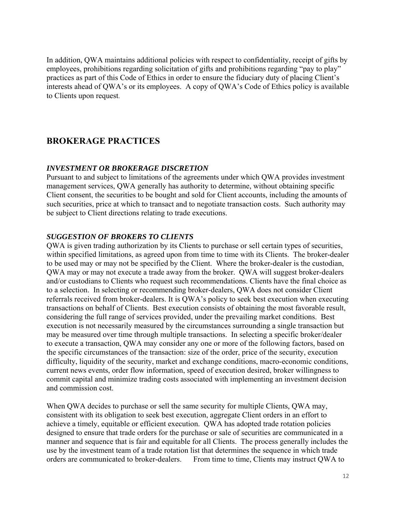In addition, QWA maintains additional policies with respect to confidentiality, receipt of gifts by employees, prohibitions regarding solicitation of gifts and prohibitions regarding "pay to play" practices as part of this Code of Ethics in order to ensure the fiduciary duty of placing Client's interests ahead of QWA's or its employees. A copy of QWA's Code of Ethics policy is available to Clients upon request.

# **BROKERAGE PRACTICES**

#### *INVESTMENT OR BROKERAGE DISCRETION*

Pursuant to and subject to limitations of the agreements under which QWA provides investment management services, QWA generally has authority to determine, without obtaining specific Client consent, the securities to be bought and sold for Client accounts, including the amounts of such securities, price at which to transact and to negotiate transaction costs. Such authority may be subject to Client directions relating to trade executions.

#### *SUGGESTION OF BROKERS TO CLIENTS*

QWA is given trading authorization by its Clients to purchase or sell certain types of securities, within specified limitations, as agreed upon from time to time with its Clients. The broker-dealer to be used may or may not be specified by the Client. Where the broker-dealer is the custodian, QWA may or may not execute a trade away from the broker. QWA will suggest broker-dealers and/or custodians to Clients who request such recommendations. Clients have the final choice as to a selection. In selecting or recommending broker-dealers, QWA does not consider Client referrals received from broker-dealers. It is QWA's policy to seek best execution when executing transactions on behalf of Clients. Best execution consists of obtaining the most favorable result, considering the full range of services provided, under the prevailing market conditions. Best execution is not necessarily measured by the circumstances surrounding a single transaction but may be measured over time through multiple transactions. In selecting a specific broker/dealer to execute a transaction, QWA may consider any one or more of the following factors, based on the specific circumstances of the transaction: size of the order, price of the security, execution difficulty, liquidity of the security, market and exchange conditions, macro-economic conditions, current news events, order flow information, speed of execution desired, broker willingness to commit capital and minimize trading costs associated with implementing an investment decision and commission cost.

When QWA decides to purchase or sell the same security for multiple Clients, QWA may, consistent with its obligation to seek best execution, aggregate Client orders in an effort to achieve a timely, equitable or efficient execution. QWA has adopted trade rotation policies designed to ensure that trade orders for the purchase or sale of securities are communicated in a manner and sequence that is fair and equitable for all Clients. The process generally includes the use by the investment team of a trade rotation list that determines the sequence in which trade orders are communicated to broker-dealers. From time to time, Clients may instruct QWA to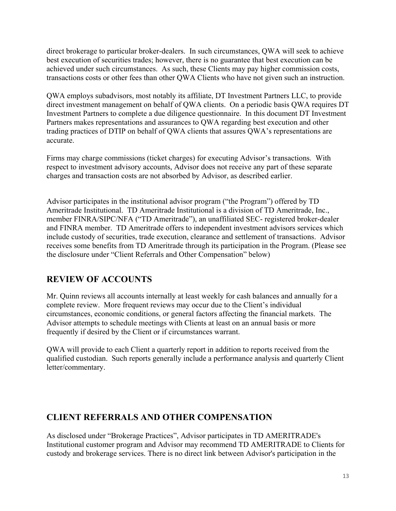direct brokerage to particular broker-dealers. In such circumstances, QWA will seek to achieve best execution of securities trades; however, there is no guarantee that best execution can be achieved under such circumstances. As such, these Clients may pay higher commission costs, transactions costs or other fees than other QWA Clients who have not given such an instruction.

QWA employs subadvisors, most notably its affiliate, DT Investment Partners LLC, to provide direct investment management on behalf of QWA clients. On a periodic basis QWA requires DT Investment Partners to complete a due diligence questionnaire. In this document DT Investment Partners makes representations and assurances to QWA regarding best execution and other trading practices of DTIP on behalf of QWA clients that assures QWA's representations are accurate.

Firms may charge commissions (ticket charges) for executing Advisor's transactions. With respect to investment advisory accounts, Advisor does not receive any part of these separate charges and transaction costs are not absorbed by Advisor, as described earlier.

Advisor participates in the institutional advisor program ("the Program") offered by TD Ameritrade Institutional. TD Ameritrade Institutional is a division of TD Ameritrade, Inc., member FINRA/SIPC/NFA ("TD Ameritrade"), an unaffiliated SEC- registered broker-dealer and FINRA member. TD Ameritrade offers to independent investment advisors services which include custody of securities, trade execution, clearance and settlement of transactions. Advisor receives some benefits from TD Ameritrade through its participation in the Program. (Please see the disclosure under "Client Referrals and Other Compensation" below)

# **REVIEW OF ACCOUNTS**

Mr. Quinn reviews all accounts internally at least weekly for cash balances and annually for a complete review. More frequent reviews may occur due to the Client's individual circumstances, economic conditions, or general factors affecting the financial markets. The Advisor attempts to schedule meetings with Clients at least on an annual basis or more frequently if desired by the Client or if circumstances warrant.

QWA will provide to each Client a quarterly report in addition to reports received from the qualified custodian. Such reports generally include a performance analysis and quarterly Client letter/commentary.

# **CLIENT REFERRALS AND OTHER COMPENSATION**

As disclosed under "Brokerage Practices", Advisor participates in TD AMERITRADE's Institutional customer program and Advisor may recommend TD AMERITRADE to Clients for custody and brokerage services. There is no direct link between Advisor's participation in the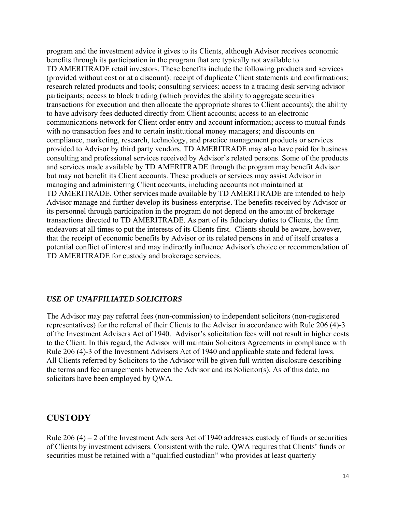program and the investment advice it gives to its Clients, although Advisor receives economic benefits through its participation in the program that are typically not available to TD AMERITRADE retail investors. These benefits include the following products and services (provided without cost or at a discount): receipt of duplicate Client statements and confirmations; research related products and tools; consulting services; access to a trading desk serving advisor participants; access to block trading (which provides the ability to aggregate securities transactions for execution and then allocate the appropriate shares to Client accounts); the ability to have advisory fees deducted directly from Client accounts; access to an electronic communications network for Client order entry and account information; access to mutual funds with no transaction fees and to certain institutional money managers; and discounts on compliance, marketing, research, technology, and practice management products or services provided to Advisor by third party vendors. TD AMERITRADE may also have paid for business consulting and professional services received by Advisor's related persons. Some of the products and services made available by TD AMERITRADE through the program may benefit Advisor but may not benefit its Client accounts. These products or services may assist Advisor in managing and administering Client accounts, including accounts not maintained at TD AMERITRADE. Other services made available by TD AMERITRADE are intended to help Advisor manage and further develop its business enterprise. The benefits received by Advisor or its personnel through participation in the program do not depend on the amount of brokerage transactions directed to TD AMERITRADE. As part of its fiduciary duties to Clients, the firm endeavors at all times to put the interests of its Clients first. Clients should be aware, however, that the receipt of economic benefits by Advisor or its related persons in and of itself creates a potential conflict of interest and may indirectly influence Advisor's choice or recommendation of TD AMERITRADE for custody and brokerage services.

#### *USE OF UNAFFILIATED SOLICITORS*

The Advisor may pay referral fees (non-commission) to independent solicitors (non-registered representatives) for the referral of their Clients to the Adviser in accordance with Rule 206 (4)-3 of the Investment Advisers Act of 1940. Advisor's solicitation fees will not result in higher costs to the Client. In this regard, the Advisor will maintain Solicitors Agreements in compliance with Rule 206 (4)-3 of the Investment Advisers Act of 1940 and applicable state and federal laws. All Clients referred by Solicitors to the Advisor will be given full written disclosure describing the terms and fee arrangements between the Advisor and its Solicitor(s). As of this date, no solicitors have been employed by QWA.

# **CUSTODY**

Rule  $206 (4) - 2$  of the Investment Advisers Act of 1940 addresses custody of funds or securities of Clients by investment advisers. Consistent with the rule, QWA requires that Clients' funds or securities must be retained with a "qualified custodian" who provides at least quarterly